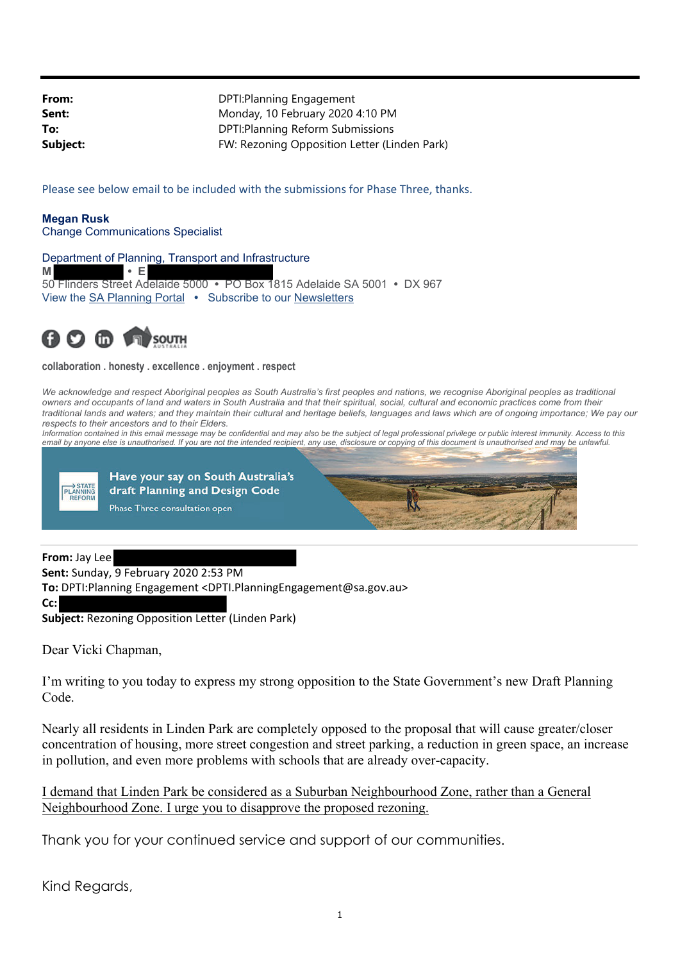| DPTI: Planning Engagement                    |
|----------------------------------------------|
| Monday, 10 February 2020 4:10 PM             |
| DPTI: Planning Reform Submissions            |
| FW: Rezoning Opposition Letter (Linden Park) |
|                                              |

Please see below email to be included with the submissions for Phase Three, thanks.

**Megan Rusk** Change Communications Specialist

Department of Planning, Transport and Infrastructure

**M • E** 50 Flinders Street Adelaide 5000 **•** PO Box 1815 Adelaide SA 5001 **•** DX 967 View the SA Planning Portal **•** Subscribe to our Newsletters



**collaboration . honesty . excellence . enjoyment . respect** 

We acknowledge and respect Aboriginal peoples as South Australia's first peoples and nations, we recognise Aboriginal peoples as traditional *owners and occupants of land and waters in South Australia and that their spiritual, social, cultural and economic practices come from their traditional lands and waters; and they maintain their cultural and heritage beliefs, languages and laws which are of ongoing importance; We pay our respects to their ancestors and to their Elders.* 

*Information contained in this email message may be confidential and may also be the subject of legal professional privilege or public interest immunity. Access to this* email by anyone else is unauthorised. If you are not the intended recipient, any use, disclosure or copying of this document is unauthorised and may be unlawful.





## **From:** Jay Lee

**Sent:** Sunday, 9 February 2020 2:53 PM

**To:** DPTI:Planning Engagement <DPTI.PlanningEngagement@sa.gov.au>

**Cc:**

**Subject:** Rezoning Opposition Letter (Linden Park)

Dear Vicki Chapman,

I'm writing to you today to express my strong opposition to the State Government's new Draft Planning Code.

Nearly all residents in Linden Park are completely opposed to the proposal that will cause greater/closer concentration of housing, more street congestion and street parking, a reduction in green space, an increase in pollution, and even more problems with schools that are already over-capacity.

I demand that Linden Park be considered as a Suburban Neighbourhood Zone, rather than a General Neighbourhood Zone. I urge you to disapprove the proposed rezoning.

Thank you for your continued service and support of our communities.

Kind Regards,